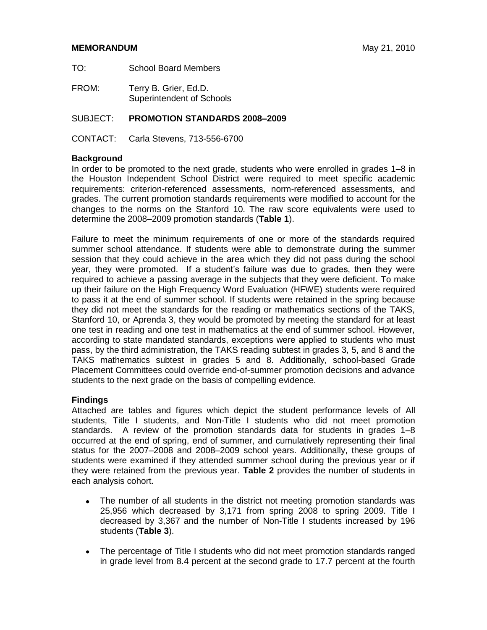#### **MEMORANDUM** May 21, 2010

- TO: School Board Members
- FROM: Terry B. Grier, Ed.D. Superintendent of Schools

#### SUBJECT: **PROMOTION STANDARDS 2008–2009**

CONTACT: Carla Stevens, 713-556-6700

#### **Background**

In order to be promoted to the next grade, students who were enrolled in grades 1–8 in the Houston Independent School District were required to meet specific academic requirements: criterion-referenced assessments, norm-referenced assessments, and grades. The current promotion standards requirements were modified to account for the changes to the norms on the Stanford 10. The raw score equivalents were used to determine the 2008–2009 promotion standards (**Table 1**).

Failure to meet the minimum requirements of one or more of the standards required summer school attendance. If students were able to demonstrate during the summer session that they could achieve in the area which they did not pass during the school year, they were promoted. If a student's failure was due to grades, then they were required to achieve a passing average in the subjects that they were deficient. To make up their failure on the High Frequency Word Evaluation (HFWE) students were required to pass it at the end of summer school. If students were retained in the spring because they did not meet the standards for the reading or mathematics sections of the TAKS, Stanford 10, or Aprenda 3, they would be promoted by meeting the standard for at least one test in reading and one test in mathematics at the end of summer school. However, according to state mandated standards, exceptions were applied to students who must pass, by the third administration, the TAKS reading subtest in grades 3, 5, and 8 and the TAKS mathematics subtest in grades 5 and 8. Additionally, school-based Grade Placement Committees could override end-of-summer promotion decisions and advance students to the next grade on the basis of compelling evidence.

#### **Findings**

Attached are tables and figures which depict the student performance levels of All students, Title I students, and Non-Title I students who did not meet promotion standards. A review of the promotion standards data for students in grades 1–8 occurred at the end of spring, end of summer, and cumulatively representing their final status for the 2007–2008 and 2008–2009 school years. Additionally, these groups of students were examined if they attended summer school during the previous year or if they were retained from the previous year. **Table 2** provides the number of students in each analysis cohort.

- The number of all students in the district not meeting promotion standards was 25,956 which decreased by 3,171 from spring 2008 to spring 2009. Title I decreased by 3,367 and the number of Non-Title I students increased by 196 students (**Table 3**).
- The percentage of Title I students who did not meet promotion standards ranged in grade level from 8.4 percent at the second grade to 17.7 percent at the fourth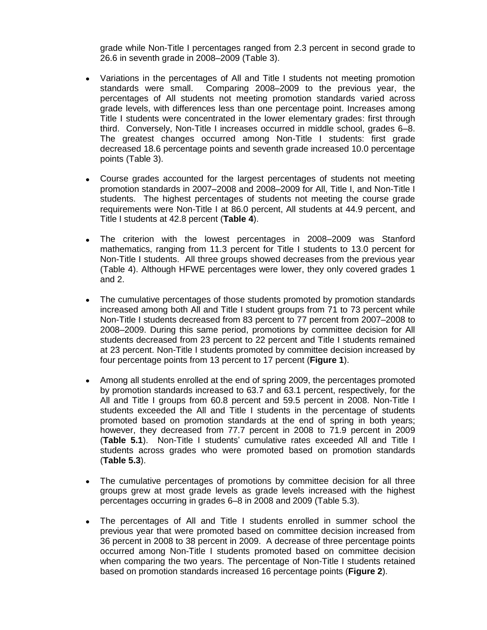grade while Non-Title I percentages ranged from 2.3 percent in second grade to 26.6 in seventh grade in 2008–2009 (Table 3).

- Variations in the percentages of All and Title I students not meeting promotion standards were small. Comparing 2008–2009 to the previous year, the percentages of All students not meeting promotion standards varied across grade levels, with differences less than one percentage point. Increases among Title I students were concentrated in the lower elementary grades: first through third. Conversely, Non-Title I increases occurred in middle school, grades 6–8. The greatest changes occurred among Non-Title I students: first grade decreased 18.6 percentage points and seventh grade increased 10.0 percentage points (Table 3).
- Course grades accounted for the largest percentages of students not meeting promotion standards in 2007–2008 and 2008–2009 for All, Title I, and Non-Title I students. The highest percentages of students not meeting the course grade requirements were Non-Title I at 86.0 percent, All students at 44.9 percent, and Title I students at 42.8 percent (**Table 4**).
- The criterion with the lowest percentages in 2008–2009 was Stanford  $\bullet$ mathematics, ranging from 11.3 percent for Title I students to 13.0 percent for Non-Title I students. All three groups showed decreases from the previous year (Table 4). Although HFWE percentages were lower, they only covered grades 1 and 2.
- The cumulative percentages of those students promoted by promotion standards  $\bullet$ increased among both All and Title I student groups from 71 to 73 percent while Non-Title I students decreased from 83 percent to 77 percent from 2007–2008 to 2008–2009. During this same period, promotions by committee decision for All students decreased from 23 percent to 22 percent and Title I students remained at 23 percent. Non-Title I students promoted by committee decision increased by four percentage points from 13 percent to 17 percent (**Figure 1**).
- Among all students enrolled at the end of spring 2009, the percentages promoted  $\bullet$ by promotion standards increased to 63.7 and 63.1 percent, respectively, for the All and Title I groups from 60.8 percent and 59.5 percent in 2008. Non-Title I students exceeded the All and Title I students in the percentage of students promoted based on promotion standards at the end of spring in both years; however, they decreased from 77.7 percent in 2008 to 71.9 percent in 2009 (**Table 5.1**). Non-Title I students' cumulative rates exceeded All and Title I students across grades who were promoted based on promotion standards (**Table 5.3**).
- The cumulative percentages of promotions by committee decision for all three groups grew at most grade levels as grade levels increased with the highest percentages occurring in grades 6–8 in 2008 and 2009 (Table 5.3).
- The percentages of All and Title I students enrolled in summer school the previous year that were promoted based on committee decision increased from 36 percent in 2008 to 38 percent in 2009. A decrease of three percentage points occurred among Non-Title I students promoted based on committee decision when comparing the two years. The percentage of Non-Title I students retained based on promotion standards increased 16 percentage points (**Figure 2**).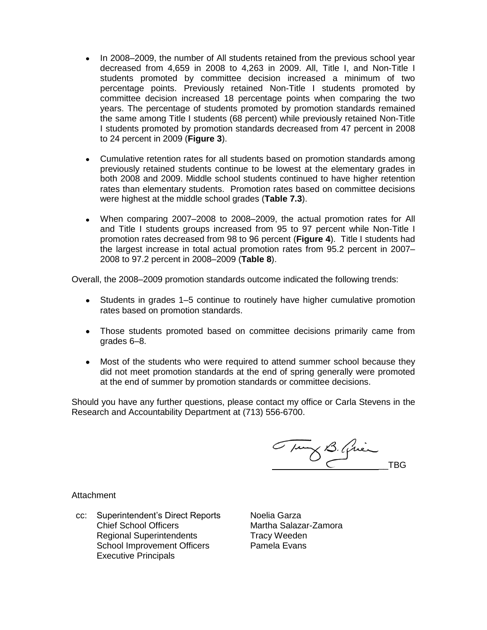- In 2008–2009, the number of All students retained from the previous school year decreased from 4,659 in 2008 to 4,263 in 2009. All, Title I, and Non-Title I students promoted by committee decision increased a minimum of two percentage points. Previously retained Non-Title I students promoted by committee decision increased 18 percentage points when comparing the two years. The percentage of students promoted by promotion standards remained the same among Title I students (68 percent) while previously retained Non-Title I students promoted by promotion standards decreased from 47 percent in 2008 to 24 percent in 2009 (**Figure 3**).
- Cumulative retention rates for all students based on promotion standards among previously retained students continue to be lowest at the elementary grades in both 2008 and 2009. Middle school students continued to have higher retention rates than elementary students. Promotion rates based on committee decisions were highest at the middle school grades (**Table 7.3**).
- When comparing 2007–2008 to 2008–2009, the actual promotion rates for All and Title I students groups increased from 95 to 97 percent while Non-Title I promotion rates decreased from 98 to 96 percent (**Figure 4**). Title I students had the largest increase in total actual promotion rates from 95.2 percent in 2007– 2008 to 97.2 percent in 2008–2009 (**Table 8**).

Overall, the 2008–2009 promotion standards outcome indicated the following trends:

- Students in grades 1–5 continue to routinely have higher cumulative promotion rates based on promotion standards.
- Those students promoted based on committee decisions primarily came from grades 6–8.
- Most of the students who were required to attend summer school because they did not meet promotion standards at the end of spring generally were promoted at the end of summer by promotion standards or committee decisions.

Should you have any further questions, please contact my office or Carla Stevens in the Research and Accountability Department at (713) 556-6700.

Tung B. Quien TBG

**Attachment** 

cc: Superintendent's Direct Reports Noelia Garza Chief School Officers Martha Salazar-Zamora Regional Superintendents Tracy Weeden School Improvement Officers Pamela Evans Executive Principals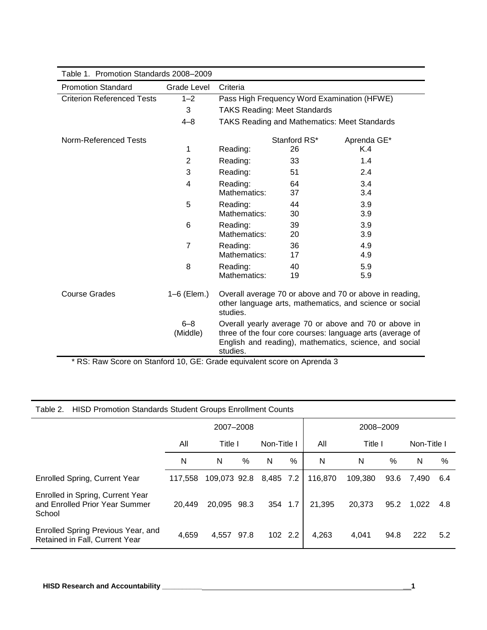| Table 1. Promotion Standards 2008-2009 |                     |                          |                                     |                                                                                                                                                                              |
|----------------------------------------|---------------------|--------------------------|-------------------------------------|------------------------------------------------------------------------------------------------------------------------------------------------------------------------------|
| <b>Promotion Standard</b>              | Grade Level         | Criteria                 |                                     |                                                                                                                                                                              |
| <b>Criterion Referenced Tests</b>      | $1 - 2$             |                          |                                     | Pass High Frequency Word Examination (HFWE)                                                                                                                                  |
|                                        | 3                   |                          | <b>TAKS Reading: Meet Standards</b> |                                                                                                                                                                              |
|                                        | $4 - 8$             |                          |                                     | <b>TAKS Reading and Mathematics: Meet Standards</b>                                                                                                                          |
| Norm-Referenced Tests                  |                     |                          | Stanford RS*                        | Aprenda GE*                                                                                                                                                                  |
|                                        | 1                   | Reading:                 | 26                                  | K.4                                                                                                                                                                          |
|                                        | $\overline{2}$      | Reading:                 | 33                                  | 1.4                                                                                                                                                                          |
|                                        | 3                   | Reading:                 | 51                                  | 2.4                                                                                                                                                                          |
|                                        | 4                   | Reading:<br>Mathematics: | 64<br>37                            | 3.4<br>3.4                                                                                                                                                                   |
|                                        | 5                   | Reading:<br>Mathematics: | 44<br>30                            | 3.9<br>3.9                                                                                                                                                                   |
|                                        | 6                   | Reading:<br>Mathematics: | 39<br>20                            | 3.9<br>3.9                                                                                                                                                                   |
|                                        | $\overline{7}$      | Reading:<br>Mathematics: | 36<br>17                            | 4.9<br>4.9                                                                                                                                                                   |
|                                        | 8                   | Reading:<br>Mathematics: | 40<br>19                            | 5.9<br>5.9                                                                                                                                                                   |
| <b>Course Grades</b>                   | 1-6 (Elem.)         | studies.                 |                                     | Overall average 70 or above and 70 or above in reading,<br>other language arts, mathematics, and science or social                                                           |
| $\sim$ $\sim$                          | $6 - 8$<br>(Middle) | studies.                 |                                     | Overall yearly average 70 or above and 70 or above in<br>three of the four core courses: language arts (average of<br>English and reading), mathematics, science, and social |

\* RS: Raw Score on Stanford 10, GE: Grade equivalent score on Aprenda 3

#### Table 2. HISD Promotion Standards Student Groups Enrollment Counts

|                                                                              |         | 2007-2008    |      |             |      |         | 2008-2009 |      |             |       |
|------------------------------------------------------------------------------|---------|--------------|------|-------------|------|---------|-----------|------|-------------|-------|
|                                                                              | All     | Title I      |      | Non-Title I |      | All     | Title I   |      | Non-Title I |       |
|                                                                              | N       | N            | %    | N           | $\%$ | N       | N         | %    | N           | %     |
| <b>Enrolled Spring, Current Year</b>                                         | 117.558 | 109.073 92.8 |      | 8,485 7.2   |      | 116.870 | 109.380   | 93.6 | 7.490       | 6.4   |
| Enrolled in Spring, Current Year<br>and Enrolled Prior Year Summer<br>School | 20.449  | 20.095 98.3  |      | 354 1.7     |      | 21.395  | 20,373    | 95.2 | 1.022       | - 4.8 |
| Enrolled Spring Previous Year, and<br>Retained in Fall, Current Year         | 4,659   | 4.557        | 97.8 | 102 2.2     |      | 4,263   | 4.041     | 94.8 | 222         | 5.2   |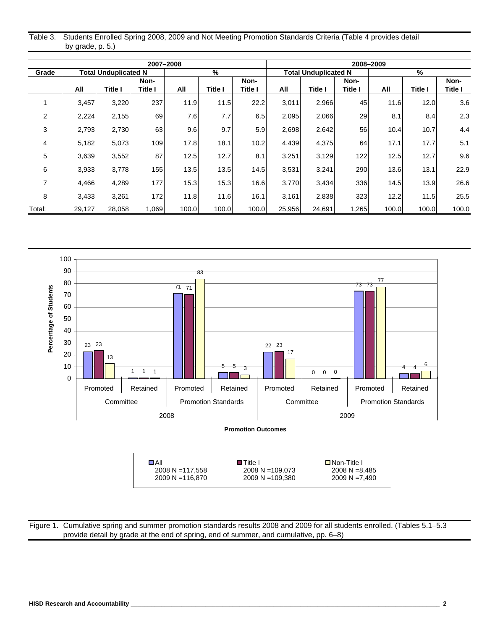|                     | Table 3. Students Enrolled Spring 2008, 2009 and Not Meeting Promotion Standards Criteria (Table 4 provides detail |  |
|---------------------|--------------------------------------------------------------------------------------------------------------------|--|
| by grade, $p. 5$ .) |                                                                                                                    |  |

|                |        |                             |                | 2007-2008 |                |                |        |                             |         | 2008-2009 |         |         |
|----------------|--------|-----------------------------|----------------|-----------|----------------|----------------|--------|-----------------------------|---------|-----------|---------|---------|
| Grade          |        | <b>Total Unduplicated N</b> |                |           | %              |                |        | <b>Total Unduplicated N</b> |         |           | %       |         |
|                |        |                             | Non-           |           |                | Non-           |        |                             | Non-    |           |         | Non-    |
|                | All    | Title I                     | <b>Title I</b> | All       | <b>Title I</b> | <b>Title I</b> | All    | Title I                     | Title I | All       | Title I | Title I |
|                | 3,457  | 3,220                       | 237            | 11.9      | 11.5           | 22.2           | 3,011  | 2,966                       | 45      | 11.6      | 12.0    | 3.6     |
| $\overline{2}$ | 2,224  | 2,155                       | 69             | 7.6       | 7.7            | 6.5            | 2,095  | 2,066                       | 29      | 8.1       | 8.4     | 2.3     |
| 3              | 2,793  | 2,730                       | 63             | 9.6       | 9.7            | 5.9            | 2,698  | 2,642                       | 56      | 10.4      | 10.7    | 4.4     |
| 4              | 5,182  | 5,073                       | 109            | 17.8      | 18.1           | 10.2           | 4,439  | 4,375                       | 64      | 17.1      | 17.7    | 5.1     |
| 5              | 3,639  | 3,552                       | 87             | 12.5      | 12.7           | 8.1            | 3,251  | 3,129                       | 122     | 12.5      | 12.7    | 9.6     |
| 6              | 3,933  | 3,778                       | 155            | 13.5      | 13.5           | 14.5           | 3,531  | 3,241                       | 290     | 13.6      | 13.1    | 22.9    |
| 7              | 4,466  | 4,289                       | 177            | 15.3      | 15.3           | 16.6           | 3,770  | 3,434                       | 336     | 14.5      | 13.9    | 26.6    |
| 8              | 3,433  | 3,261                       | 172            | 11.8      | 11.6           | 16.1           | 3,161  | 2,838                       | 323     | 12.2      | 11.5    | 25.5    |
| Total:         | 29,127 | 28,058                      | 1,069          | 100.0     | 100.0          | 100.0          | 25,956 | 24,691                      | 1,265   | 100.0     | 100.0   | 100.0   |



Figure 1. Cumulative spring and summer promotion standards results 2008 and 2009 for all students enrolled. (Tables 5.1–5.3 provide detail by grade at the end of spring, end of summer, and cumulative, pp. 6–8)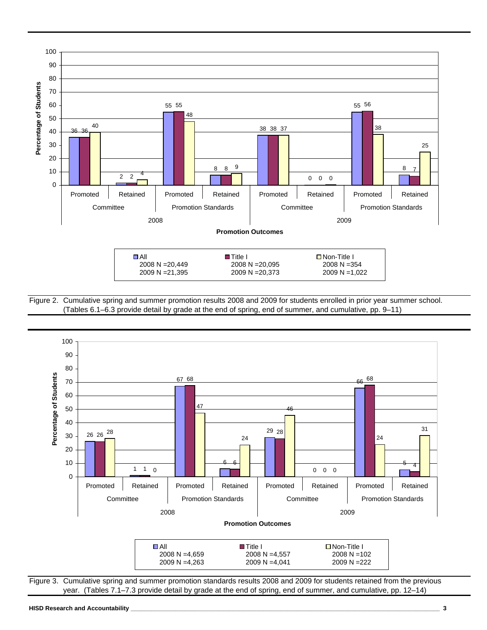

Figure 2. Cumulative spring and summer promotion results 2008 and 2009 for students enrolled in prior year summer school. (Tables 6.1–6.3 provide detail by grade at the end of spring, end of summer, and cumulative, pp. 9–11)



year. (Tables 7.1–7.3 provide detail by grade at the end of spring, end of summer, and cumulative, pp. 12–14)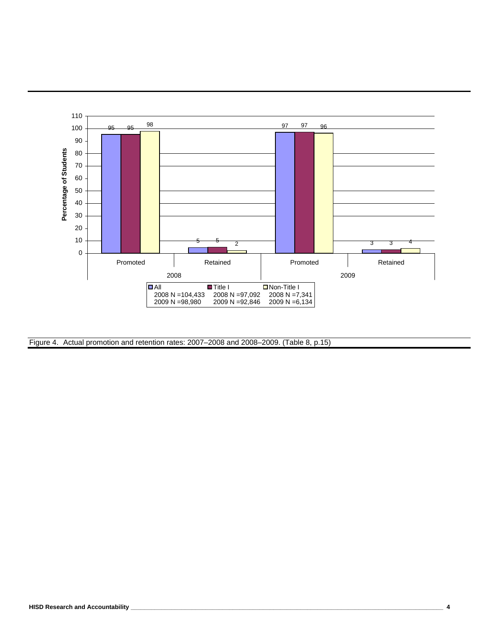

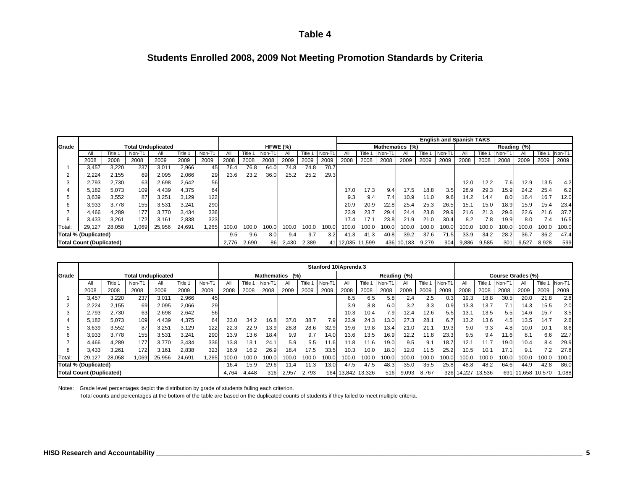#### **Students Enrolled 2008, 2009 Not Meeting Promotion Standards by Criteria**

|        |                                 |        |                           |        |        |       |       |       |       |          |         |       |           |        |                 |            |       |       | <b>English and Spanish TAKS</b> |       |       |             |       |        |
|--------|---------------------------------|--------|---------------------------|--------|--------|-------|-------|-------|-------|----------|---------|-------|-----------|--------|-----------------|------------|-------|-------|---------------------------------|-------|-------|-------------|-------|--------|
| Grade  |                                 |        | <b>Total Unduplicated</b> |        |        |       |       |       |       | HFWE (%) |         |       |           |        | Mathematics (%) |            |       |       |                                 |       |       | Reading (%) |       |        |
|        | ΑII                             | ¨itle  | Non-T1                    |        | Title  | Non-T |       | Title | Non-T |          | ⊺itle ' | Non-T | All       | Title  | Non-T1          |            | Title | Non-1 |                                 | Title | Non-T |             | Title | Non-T1 |
|        | 2008                            | 2008   | 2008                      | 2009   | 2009   | 2009  | 2008  | 2008  | 2008  | 2009     | 2009    | 2009  | 2008      | 2008   | 2008            | 2009       | 2009  | 2009  | 2008                            | 2008  | 2008  | 2009        | 2009  | 2009   |
|        | 3.457                           | 3,220  | 237                       | 3,011  | 2,966  | 45    | 76.4  | 76.8  | 64.0  | 74.8     | 74.8    | 70.7  |           |        |                 |            |       |       |                                 |       |       |             |       |        |
|        | 2.224                           | 2,155  | 69                        | 2,095  | 2,066  | 29    | 23.6  | 23.2  | 36.0  | 25.2     | 25.2    | 29.3  |           |        |                 |            |       |       |                                 |       |       |             |       |        |
|        | 2,793                           | 2,730  | 63                        | 2,698  | 2,642  | 56    |       |       |       |          |         |       |           |        |                 |            |       |       | 12.0                            | 12.2  | 7.6   | 12.9        | 13.5  | 4.2    |
|        | 5.182                           | 5,073  | 109                       | 4,439  | 4,375  | 64    |       |       |       |          |         |       | 17.0      | 17.3   | 9.4             | 17.5       | 18.8  | 3.5   | 28.9                            | 29.3  | 15.9  | 24.2        | 25.4  | 6.2    |
|        | 3,639                           | 3,552  | 87                        | 3,251  | 3,129  | 122   |       |       |       |          |         |       | 9.3       | 9.4    | 7.4             | 10.9       | 11.0  | 9.6   | 14.2                            | 14.4  | 8.0   | 16.4        | 16.7  | 12.0   |
|        | 3.933                           | 3.778  | 155                       | 3,531  | 3.241  | 290   |       |       |       |          |         |       | 20.9      | 20.9   | 22.8            | 25.4       | 25.3  | 26.5  | 15.1                            | 15.0  | 18.9  | 15.9        | 15.4  | 23.4   |
|        | 4.466                           | 4.289  | 177                       | 3,770  | 3.434  | 336   |       |       |       |          |         |       | 23.9      | 23.7   | 29.4            | 24.4       | 23.8  | 29.9  | 21.6                            | 21.3  | 29.6  | 22.6        | 21.6  | 37.7   |
|        | 3.433                           | 3,261  | 172 <sub>1</sub>          | 3,161  | 2,838  | 323   |       |       |       |          |         |       | 17.4      | 17.1   | 23.8            | 21.9       | 21.0  | 30.4  | 8.2                             | 7.8   | 19.9  | 8.0         | 7.4   | 16.5   |
| Total: | 29.127                          | 28,058 | 069                       | 25,956 | 24,691 | .265  | 100.0 | 100.0 | 100.0 | 100.0    | 100.0   | 100.0 | 100.0     | 100.0  | 100.0           | 100.0      | 100.0 | 100.0 | 100.0                           | 100.0 | 100.0 | 100.0       | 100.0 | 100.0  |
|        | <b>Total % (Duplicated)</b>     |        |                           |        |        |       | 9.5   | 9.6   | 8.0   | 9.4      | 9.7     | 3.2   | 41.3      | 41.3   | 40.8            | 39.2       | 37.6  | 71.5  | 33.9                            | 34.2  | 28.2  | 36.7        | 36.2  | 47.4   |
|        | <b>Total Count (Duplicated)</b> |        |                           |        |        |       | 2.776 | 2,690 | 86    | 2,430    | 2,389   |       | 41 12,035 | 11,599 |                 | 436 10,183 | 9,279 | 904   | 9,886                           | 9,585 | 301   | 9,527       | 8,928 | 599    |

|        |                                 |         |                           |        |         |        |       |         |        |                 |         |        | Stanford 10/Aprenda 3 |         |        |             |         |        |            |        |        |                   |         |        |
|--------|---------------------------------|---------|---------------------------|--------|---------|--------|-------|---------|--------|-----------------|---------|--------|-----------------------|---------|--------|-------------|---------|--------|------------|--------|--------|-------------------|---------|--------|
| Grade  |                                 |         | <b>Total Unduplicated</b> |        |         |        |       |         |        | Mathematics (%) |         |        |                       |         |        | Reading (%) |         |        |            |        |        | Course Grades (%) |         |        |
|        | All                             | Title 1 | Non-T1                    | All    | Title : | Non-T1 | ΑII   | Title 1 | Non-T1 |                 | Title 1 | Non-T1 | Αll                   | Title 1 | Non-T1 | All         | Title 1 | Non-T1 | ΑIΙ        | Title  | Non-T1 | All               | Title ' | Non-T1 |
|        | 2008                            | 2008    | 2008                      | 2009   | 2009    | 2009   | 2008  | 2008    | 2008   | 2009            | 2009    | 2009   | 2008                  | 2008    | 2008   | 2009        | 2009    | 2009   | 2008       | 2008   | 2008   | 2009              | 2009    | 2009   |
|        | 3,457                           | 3,220   | 237                       | 3,01'  | 2,966   | 45     |       |         |        |                 |         |        | 6.5                   | 6.5     | 5.8    | 2.4         | 2.5     | 0.3    | 19.3       | 18.8   | 30.5   | 20.0              | 21.8    | 2.8    |
|        | 2,224                           | 2.155   | 69                        | 2,095  | 2,066   | 29     |       |         |        |                 |         |        | 3.9                   | 3.8     | 6.0    | 3.2         | 3.3     | 0.9    | 13.3       | 13.7   | 7.1    | 14.3              | 15.5    | 2.0    |
|        | 2.793                           | 2.730   | 63                        | 2,698  | 2.642   | 56     |       |         |        |                 |         |        | 10.3                  | 10.4    | 7.9    | 12.4        | 12.6    | 5.5    | 13.1       | 13.5   | 5.5    | 14.6              | 15.7    | 3.5    |
|        | 5.182                           | 5,073   | 109                       | 4.439  | 4.375   | 64     | 33.0  | 34.2    | 16.8   | 37.0            | 38.7    | 7.9    | 23.9                  | 24.3    | 13.0   | 27.3        | 28.1    | 6.7    | 13.2       | 13.6   | 4.5    | 13.5              | 14.7    | 2.6    |
|        | 3,639                           | 3,552   | 87                        | 3,251  | 3,129   | 122    | 22.3  | 22.9    | 13.9   | 28.8            | 28.6    | 32.9   | 19.6                  | 19.8    | 13.4   | 21.0        | 21.1    | 19.3   | 9.0        | 9.3    | 4.8    | 10.0              | 10.1    | 8.6    |
| 6      | 3,933                           | 3.778   | 155                       | 3,531  | 3,241   | 290    | 13.9  | 13.6    | 18.4.  | 9.9             | 9.7     | 14.0   | 13.6                  | 13.5    | 16.9   | 12.2        | 11.8    | 23.3   | 9.5        | 9.4    | 11.6   | 8.1               | 6.6     | 22.7   |
|        | 4.466                           | 4.289   | 177                       | 3.770  | 3.434   | 336    | 13.8  | 13.1    | 24.1   | 5.9             | 5.5     | 11.6   | 11.8                  | 11.6    | 19.0   | 9.5         | 9.1     | 18.7   | 12.1       | 11.7   | 19.0   | 10.4              | 8.4     | 29.9   |
|        | 3.433                           | 3,261   | 172                       | 3.161  | 2,838   | 323    | 16.9  | 16.2    | 26.9   | 18.4            | 17.5    | 33.5   | 10.3                  | 10.0    | 18.0   | 12.0        | 11.5    | 25.2   | 10.5       | 10.1   | 17.1   | 9.1               | 7.2     | 27.8   |
| Total: | 29.127                          | 28.058  | ,069                      | 25,956 | 24.691  | ,265   | 100.0 | 100.0   | 100.0  | 100.0           | 100.0   | 100.0  | 100.0                 | 100.0   | 100.0  | 100.0       | 100.0   | 100.0  | 100.0      | 100.0  | 100.0  | 100.0             | 100.0   | 100.0  |
|        | Total % (Duplicated)            |         |                           |        |         |        | 16.4  | 15.9    | 29.6   | 1.4             | 11.3    | 13.01  | 47.5                  | 47.5    | 48.3   | 35.0        | 35.5    | 25.8   | 48.8       | 48.2   | 64.6   | 44.9              | 42.8    | 86.0   |
|        | <b>Total Count (Duplicated)</b> |         |                           |        |         |        | 4,764 | 4.448   | 316    | 2,957           | 2,793   |        | 164 13,842 13,326     |         | 516    | 9,093       | 8,767   |        | 326 14,227 | 13,536 | 691    | .658              | 10,570  | 1,088  |

Notes: Grade level percentages depict the distribution by grade of students failing each criterion.

Total counts and percentages at the bottom of the table are based on the duplicated counts of students if they failed to meet multiple criteria.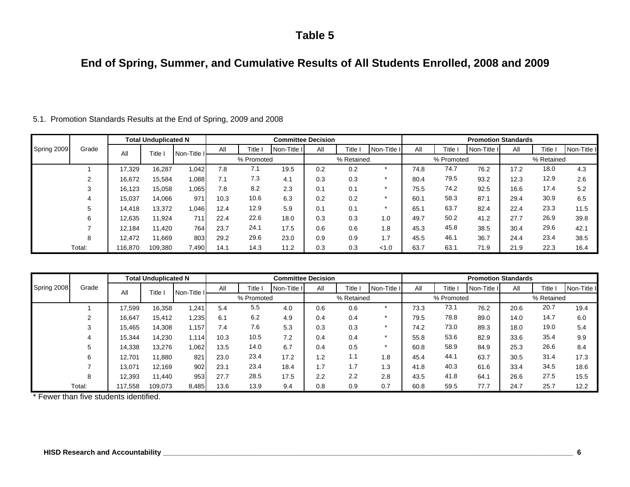### **End of Spring, Summer, and Cumulative Results of All Students Enrolled, 2008 and 2009**

|             |        |         | <b>Total Unduplicated N</b> |             |      |            | <b>Committee Decision</b> |     |            |             |      |            | <b>Promotion Standards</b> |      |              |             |
|-------------|--------|---------|-----------------------------|-------------|------|------------|---------------------------|-----|------------|-------------|------|------------|----------------------------|------|--------------|-------------|
| Spring 2009 | Grade  | All     | Title I                     | Non-Title I | All  | Title      | Non-Title I               | All | Title I    | Non-Title I | All  | Title.     | Non-Title I                | All  | <b>Title</b> | Non-Title I |
|             |        |         |                             |             |      | % Promoted |                           |     | % Retained |             |      | % Promoted |                            |      | % Retained   |             |
|             |        | 17.329  | 16,287                      | 1,042       | 7.8  | 7.1        | 19.5                      | 0.2 | 0.2        |             | 74.8 | 74.7       | 76.2                       | 17.2 | 18.0         | 4.3         |
|             |        | 16,672  | 15,584                      | 1,088       | 7.1  | 7.3        | 4.1                       | 0.3 | 0.3        |             | 80.4 | 79.5       | 93.2                       | 12.3 | 12.9         | 2.6         |
|             | 3      | 16,123  | 15,058                      | 1,065       | 7.8  | 8.2        | 2.3                       | 0.1 | 0.1        |             | 75.5 | 74.2       | 92.5                       | 16.6 | 17.4         | 5.2         |
|             | 4      | 15,037  | 14,066                      | 971         | 10.3 | 10.6       | 6.3                       | 0.2 | 0.2        |             | 60.1 | 58.3       | 87.1                       | 29.4 | 30.9         | 6.5         |
|             | 5      | 14,418  | 13,372                      | 1,046       | 12.4 | 12.9       | 5.9                       | 0.1 | 0.1        |             | 65.1 | 63.7       | 82.4                       | 22.4 | 23.3         | 11.5        |
|             | 6      | 12,635  | 11,924                      | 711         | 22.4 | 22.6       | 18.0                      | 0.3 | 0.3        | 1.0         | 49.7 | 50.2       | 41.2                       | 27.7 | 26.9         | 39.8        |
|             |        | 12,184  | 11,420                      | 764         | 23.7 | 24.1       | 17.5                      | 0.6 | 0.6        | 1.8         | 45.3 | 45.8       | 38.5                       | 30.4 | 29.6         | 42.1        |
|             | 8      | 12,472  | 11,669                      | 803         | 29.2 | 29.6       | 23.0                      | 0.9 | 0.9        | 1.7         | 45.5 | 46.1       | 36.7                       | 24.4 | 23.4         | 38.5        |
|             | Total: | 116.870 | 109,380                     | 7,490       | 14.1 | 14.3       | 11.2                      | 0.3 | 0.3        | < 1.0       | 63.7 | 63.1       | 71.9                       | 21.9 | 22.3         | 16.4        |

5.1. Promotion Standards Results at the End of Spring, 2009 and 2008

|             |        |         | <b>Total Unduplicated N</b> |             |      |            | <b>Committee Decision</b> |     |            |             |      |            | <b>Promotion Standards</b> |      |            |             |
|-------------|--------|---------|-----------------------------|-------------|------|------------|---------------------------|-----|------------|-------------|------|------------|----------------------------|------|------------|-------------|
| Spring 2008 | Grade  | All     | Title                       | Non-Title I | All  | Title I    | Non-Title I               | All | Title      | Non-Title I | All  | Title I    | Non-Title I                | All  | Title i    | Non-Title I |
|             |        |         |                             |             |      | % Promoted |                           |     | % Retained |             |      | % Promoted |                            |      | % Retained |             |
|             |        | 17,599  | 16,358                      | ,241        | 5.4  | 5.5        | 4.0                       | 0.6 | 0.6        | $\star$     | 73.3 | 73.1       | 76.2                       | 20.6 | 20.7       | 19.4        |
|             | 2      | 16,647  | 15,412                      | .235        | 6.1  | 6.2        | 4.9                       | 0.4 | 0.4        |             | 79.5 | 78.8       | 89.0                       | 14.0 | 14.7       | 6.0         |
|             | 3      | 15,465  | 14,308                      | 1.157       | 7.4  | 7.6        | 5.3                       | 0.3 | 0.3        |             | 74.2 | 73.0       | 89.3                       | 18.0 | 19.0       | 5.4         |
|             | 4      | 15,344  | 14,230                      | 1.114       | 10.3 | 10.5       | 7.2                       | 0.4 | 0.4        |             | 55.8 | 53.6       | 82.9                       | 33.6 | 35.4       | 9.9         |
|             | 5      | 14,338  | 13,276                      | .062        | 13.5 | 14.0       | 6.7                       | 0.4 | 0.5        | $\star$     | 60.8 | 58.9       | 84.9                       | 25.3 | 26.6       | 8.4         |
|             | 6      | 12,701  | 11,880                      | 821         | 23.0 | 23.4       | 17.2                      | 1.2 | 1.1        | 1.8         | 45.4 | 44.1       | 63.7                       | 30.5 | 31.4       | 17.3        |
|             |        | 13,071  | 12,169                      | 902         | 23.1 | 23.4       | 18.4                      | 1.7 | 1.7        | 1.3         | 41.8 | 40.3       | 61.6                       | 33.4 | 34.5       | 18.6        |
|             | 8      | 12,393  | 11.440                      | 953         | 27.7 | 28.5       | 17.5                      | 2.2 | 2.2        | 2.8         | 43.5 | 41.8       | 64.1                       | 26.6 | 27.5       | 15.5        |
|             | Total: | 117,558 | 109,073                     | 8,485       | 13.6 | 13.9       | 9.4                       | 0.8 | 0.9        | 0.7         | 60.8 | 59.5       | 77.7                       | 24.7 | 25.7       | 12.2        |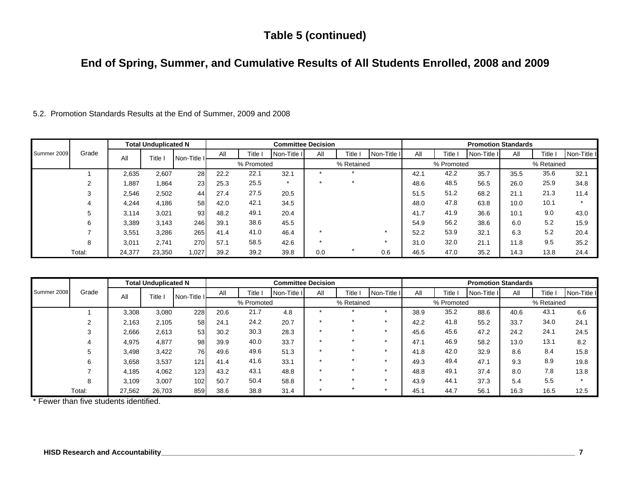# **Table 5 (continued)**

# **End of Spring, Summer, and Cumulative Results of All Students Enrolled, 2008 and 2009**

|  |  |  |  |  |  | 5.2. Promotion Standards Results at the End of Summer, 2009 and 2008 |  |  |  |
|--|--|--|--|--|--|----------------------------------------------------------------------|--|--|--|
|--|--|--|--|--|--|----------------------------------------------------------------------|--|--|--|

|             |        |        | <b>Total Unduplicated N</b> |             |      |            | <b>Committee Decision</b> |     |            |             |      |            | <b>Promotion Standards</b> |      |            |             |
|-------------|--------|--------|-----------------------------|-------------|------|------------|---------------------------|-----|------------|-------------|------|------------|----------------------------|------|------------|-------------|
| Summer 2009 | Grade  | All    | Title                       | Non-Title I | All  | Title      | Non-Title I               | All | Title I    | Non-Title I | All  | Title I    | Non-Title I                | All  | Title i    | Non-Title I |
|             |        |        |                             |             |      | % Promoted |                           |     | % Retained |             |      | % Promoted |                            |      | % Retained |             |
|             |        | 2,635  | 2,607                       | 28          | 22.2 | 22.1       | 32.1                      |     |            |             | 42.1 | 42.2       | 35.7                       | 35.5 | 35.6       | 32.1        |
|             | $\sim$ | .887   | 1,864                       | 23          | 25.3 | 25.5       | $\star$                   |     |            |             | 48.6 | 48.5       | 56.5                       | 26.0 | 25.9       | 34.8        |
|             |        | 2,546  | 2,502                       | 44          | 27.4 | 27.5       | 20.5                      |     |            |             | 51.5 | 51.2       | 68.2                       | 21.1 | 21.3       | 11.4        |
|             |        | 4,244  | 4,186                       | 58          | 42.0 | 42.1       | 34.5                      |     |            |             | 48.0 | 47.8       | 63.8                       | 10.0 | 10.1       | $\star$     |
|             |        | 3,114  | 3,021                       | 93          | 48.2 | 49.1       | 20.4                      |     |            |             | 41.7 | 41.9       | 36.6                       | 10.1 | 9.0        | 43.0        |
|             | 6      | 3,389  | 3,143                       | 246         | 39.1 | 38.6       | 45.5                      |     |            |             | 54.9 | 56.2       | 38.6                       | 6.0  | 5.2        | 15.9        |
|             |        | 3,551  | 3,286                       | 265         | 41.4 | 41.0       | 46.4                      |     |            |             | 52.2 | 53.9       | 32.1                       | 6.3  | 5.2        | 20.4        |
|             |        | 3,011  | 2,741                       | 270         | 57.1 | 58.5       | 42.6                      |     |            |             | 31.0 | 32.0       | 21.1                       | 11.8 | 9.5        | 35.2        |
|             | Total: | 24,377 | 23,350                      | 1,027       | 39.2 | 39.2       | 39.8                      | 0.0 |            | 0.6         | 46.5 | 47.0       | 35.2                       | 14.3 | 13.8       | 24.4        |

|             |        |        | <b>Total Unduplicated N</b> |             |      |            | <b>Committee Decision</b> |         |            |             |      |            | <b>Promotion Standards</b> |      |            |             |
|-------------|--------|--------|-----------------------------|-------------|------|------------|---------------------------|---------|------------|-------------|------|------------|----------------------------|------|------------|-------------|
| Summer 2008 | Grade  | All    | Title                       | Non-Title I | All  | Title I    | Non-Title II              | All     | Title I    | Non-Title I | All  | Title I    | Non-Title I                | All  | Title      | Non-Title I |
|             |        |        |                             |             |      | % Promoted |                           |         | % Retained |             |      | % Promoted |                            |      | % Retained |             |
|             |        | 3,308  | 3,080                       | 228         | 20.6 | 21.7       | 4.8                       |         |            |             | 38.9 | 35.2       | 88.6                       | 40.6 | 43.1       | 6.6         |
|             |        | 2,163  | 2,105                       | 58          | 24.1 | 24.2       | 20.7                      |         |            |             | 42.2 | 41.8       | 55.2                       | 33.7 | 34.0       | 24.1        |
|             | 3      | 2,666  | 2,613                       | 53          | 30.2 | 30.3       | 28.3                      | $\star$ |            |             | 45.6 | 45.6       | 47.2                       | 24.2 | 24.1       | 24.5        |
|             | 4      | 4,975  | 4,877                       | 98          | 39.9 | 40.0       | 33.7                      | $\star$ |            |             | 47.1 | 46.9       | 58.2                       | 13.0 | 13.1       | 8.2         |
|             | 5      | 3,498  | 3,422                       | 76          | 49.6 | 49.6       | 51.3                      | ÷       |            |             | 41.8 | 42.0       | 32.9                       | 8.6  | 8.4        | 15.8        |
|             | 6      | 3,658  | 3,537                       | 121.        | 41.4 | 41.6       | 33.1                      |         |            |             | 49.3 | 49.4       | 47.1                       | 9.3  | 8.9        | 19.8        |
|             |        | 4,185  | 4,062                       | 123         | 43.2 | 43.1       | 48.8                      |         |            |             | 48.8 | 49.1       | 37.4                       | 8.0  | 7.8        | 13.8        |
|             | 8      | 3.109  | 3,007                       | 102         | 50.7 | 50.4       | 58.8                      |         |            |             | 43.9 | 44.1       | 37.3                       | 5.4  | 5.5        | $\star$     |
|             | Total: | 27,562 | 26,703                      | 859         | 38.6 | 38.8       | 31.4                      | ÷       |            |             | 45.1 | 44.7       | 56.1                       | 16.3 | 16.5       | 12.5        |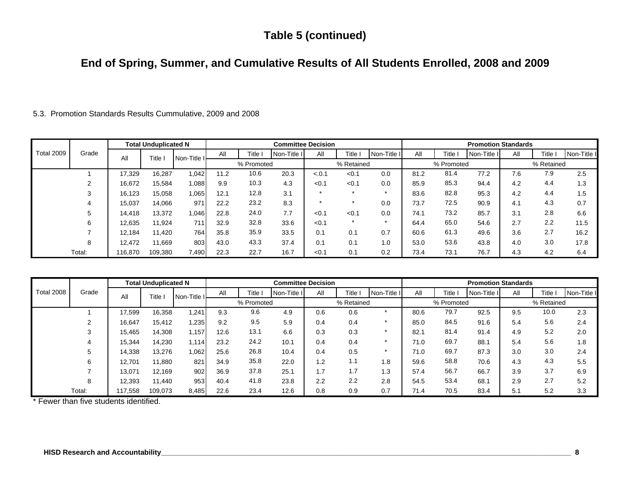# **Table 5 (continued)**

# **End of Spring, Summer, and Cumulative Results of All Students Enrolled, 2008 and 2009**

5.3. Promotion Standards Results Cummulative, 2009 and 2008

|                   |        |         | <b>Total Unduplicated N</b> |             |      |            | <b>Committee Decision</b> |         |            |                      |      |            | <b>Promotion Standards</b> |     |            |             |
|-------------------|--------|---------|-----------------------------|-------------|------|------------|---------------------------|---------|------------|----------------------|------|------------|----------------------------|-----|------------|-------------|
| <b>Total 2009</b> | Grade  | All     | Title                       | Non-Title I | All  | Title      | Non-Title I               | All     | Title I    | Non-Title I          | All  | ا Title    | Non-Title I                | All | Title      | Non-Title I |
|                   |        |         |                             |             |      | % Promoted |                           |         | % Retained |                      |      | % Promoted |                            |     | % Retained |             |
|                   |        | 17,329  | 16,287                      | 1.042       | 11.2 | 10.6       | 20.3                      | $-.0.1$ | < 0.1      | 0.0                  | 81.2 | 81.4       | 77.2                       | 7.6 | 7.9        | 2.5         |
|                   |        | 16,672  | 15,584                      | 1,088       | 9.9  | 10.3       | 4.3                       | < 0.1   | < 0.1      | 0.0                  | 85.9 | 85.3       | 94.4                       | 4.2 | 4.4        | 1.3         |
|                   |        | 16,123  | 15,058                      | 1,065       | 12.1 | 12.8       | 3.1                       | $\star$ | $\star$    | $\ddot{\phantom{1}}$ | 83.6 | 82.8       | 95.3                       | 4.2 | 4.4        | 1.5         |
|                   |        | 15,037  | 14,066                      | 971         | 22.2 | 23.2       | 8.3                       | $\star$ | $\star$    | 0.0                  | 73.7 | 72.5       | 90.9                       | 4.1 | 4.3        | 0.7         |
|                   |        | 14,418  | 13,372                      | 0.046       | 22.8 | 24.0       | 7.7                       | < 0.1   | < 0.1      | 0.0                  | 74.1 | 73.2       | 85.7                       | 3.1 | 2.8        | 6.6         |
|                   | 6      | 12,635  | 11,924                      | 711         | 32.9 | 32.8       | 33.6                      | < 0.1   | $\ast$     |                      | 64.4 | 65.0       | 54.6                       | 2.7 | 2.2        | 11.5        |
|                   |        | 12,184  | 11,420                      | 764         | 35.8 | 35.9       | 33.5                      | 0.1     | 0.1        | 0.7                  | 60.6 | 61.3       | 49.6                       | 3.6 | 2.7        | 16.2        |
|                   |        | 12.472  | 1,669                       | 803         | 43.0 | 43.3       | 37.4                      | 0.1     | 0.1        | 1.0                  | 53.0 | 53.6       | 43.8                       | 4.0 | 3.0        | 17.8        |
|                   | Total: | 116,870 | 109,380                     | 7,490       | 22.3 | 22.7       | 16.7                      | < 0.1   | 0.1        | 0.2                  | 73.4 | 73.1       | 76.7                       | 4.3 | 4.2        | 6.4         |

| <b>Total 2008</b> |        |        | <b>Total Unduplicated N</b> |             |      |            | <b>Committee Decision</b> |     |            |             |      |            | <b>Promotion Standards</b> |     |            |             |
|-------------------|--------|--------|-----------------------------|-------------|------|------------|---------------------------|-----|------------|-------------|------|------------|----------------------------|-----|------------|-------------|
|                   | Grade  | All    | Title                       | Non-Title I | All  | Title I    | Non-Title I               | All | Title i    | Non-Title I | All  | Title 1    | Non-Title I                | All | Title      | Non-Title I |
|                   |        |        |                             |             |      | % Promoted |                           |     | % Retained |             |      | % Promoted |                            |     | % Retained |             |
|                   |        | 17,599 | 16,358                      | 1,241       | 9.3  | 9.6        | 4.9                       | 0.6 | 0.6        |             | 80.6 | 79.7       | 92.5                       | 9.5 | 10.0       | 2.3         |
|                   | 2      | 16,647 | 15,412                      | 1,235       | 9.2  | 9.5        | 5.9                       | 0.4 | 0.4        |             | 85.0 | 84.5       | 91.6                       | 5.4 | 5.6        | 2.4         |
|                   | 3      | 15,465 | 14,308                      | 1,157       | 12.6 | 13.1       | 6.6                       | 0.3 | 0.3        |             | 82.1 | 81.4       | 91.4                       | 4.9 | 5.2        | 2.0         |
|                   | 4      | 15,344 | 14,230                      | 1,114       | 23.2 | 24.2       | 10.1                      | 0.4 | 0.4        | $\star$     | 71.0 | 69.7       | 88.1                       | 5.4 | 5.6        | 1.8         |
|                   | 5      | 14,338 | 13,276                      | 1,062       | 25.6 | 26.8       | 10.4                      | 0.4 | 0.5        |             | 71.0 | 69.7       | 87.3                       | 3.0 | 3.0        | 2.4         |
|                   | 6      | 12,701 | 11,880                      | 821         | 34.9 | 35.8       | 22.0                      | 1.2 | 1.1        | 1.8         | 59.6 | 58.8       | 70.6                       | 4.3 | 4.3        | 5.5         |
|                   |        | 13,071 | 12,169                      | 902         | 36.9 | 37.8       | 25.1                      | 1.7 | 1.7        | 1.3         | 57.4 | 56.7       | 66.7                       | 3.9 | 3.7        | 6.9         |
|                   | 8      | 12,393 | 11,440                      | 953         | 40.4 | 41.8       | 23.8                      | 2.2 | 2.2        | 2.8         | 54.5 | 53.4       | 68.1                       | 2.9 | 2.7        | 5.2         |
|                   | Total: | 17.558 | 109,073                     | 8,485       | 22.6 | 23.4       | 12.6                      | 0.8 | 0.9        | 0.7         | 71.4 | 70.5       | 83.4                       | 5.1 | 5.2        | 3.3         |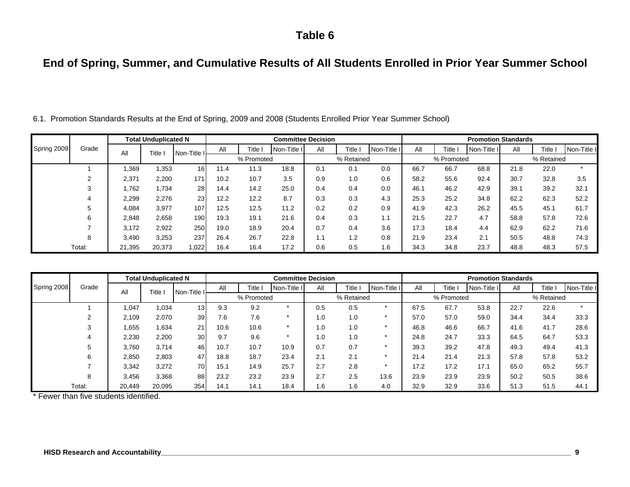# **End of Spring, Summer, and Cumulative Results of All Students Enrolled in Prior Year Summer School**

|             |        |        | <b>Total Unduplicated N</b> |                  |      |            | <b>Committee Decision</b> |     |            |             |      |            | <b>Promotion Standards</b> |      |            |             |
|-------------|--------|--------|-----------------------------|------------------|------|------------|---------------------------|-----|------------|-------------|------|------------|----------------------------|------|------------|-------------|
| Spring 2009 | Grade  | All    | Title                       | Non-Title I      | All  | Title      | Non-Title I               | All | Title i    | Non-Title I | All  | -itle      | Non-Title II               | All  | Title      | Non-Title I |
|             |        |        |                             |                  |      | % Promoted |                           |     | % Retained |             |      | % Promoted |                            |      | % Retained |             |
|             |        | .369   | 1,353                       | 16               | 11.4 | 11.3       | 18.8                      | 0.1 | 0.1        | 0.0         | 66.7 | 66.7       | 68.8                       | 21.8 | 22.0       | $\star$     |
|             |        | 2,371  | 2,200                       | 171 <sub>1</sub> | 10.2 | 10.7       | 3.5                       | 0.9 | 1.0        | 0.6         | 58.2 | 55.6       | 92.4                       | 30.7 | 32.8       | 3.5         |
|             | 3      | .762   | 1,734                       | 28               | 14.4 | 14.2       | 25.0                      | 0.4 | 0.4        | 0.0         | 46.1 | 46.2       | 42.9                       | 39.1 | 39.2       | 32.1        |
|             |        | 2,299  | 2,276                       | 23               | 12.2 | 12.2       | 8.7                       | 0.3 | 0.3        | 4.3         | 25.3 | 25.2       | 34.8                       | 62.2 | 62.3       | 52.2        |
|             | 5      | 4,084  | 3,977                       | 107              | 12.5 | 12.5       | 11.2                      | 0.2 | 0.2        | 0.9         | 41.9 | 42.3       | 26.2                       | 45.5 | 45.1       | 61.7        |
|             | 6      | 2,848  | 2,658                       | 190              | 19.3 | 19.1       | 21.6                      | 0.4 | 0.3        | 1.1         | 21.5 | 22.7       | 4.7                        | 58.8 | 57.8       | 72.6        |
|             |        | 3,172  | 2,922                       | 250              | 19.0 | 18.9       | 20.4                      | 0.7 | 0.4        | 3.6         | 17.3 | 18.4       | 4.4                        | 62.9 | 62.2       | 71.6        |
|             | 8      | 3.490  | 3,253                       | 237              | 26.4 | 26.7       | 22.8                      | 1.1 | 1.2        | 0.8         | 21.9 | 23.4       | 2.1                        | 50.5 | 48.8       | 74.3        |
|             | Total: | 21.395 | 20,373                      | 1,022            | 16.4 | 16.4       | 17.2                      | 0.6 | 0.5        | 1.6         | 34.3 | 34.8       | 23.7                       | 48.8 | 48.3       | 57.5        |

6.1. Promotion Standards Results at the End of Spring, 2009 and 2008 (Students Enrolled Prior Year Summer School)

|             |        |        | <b>Total Unduplicated N</b> |                 |      |            |             | <b>Committee Decision</b> |            |             |      |            | <b>Promotion Standards</b> |      |            |             |
|-------------|--------|--------|-----------------------------|-----------------|------|------------|-------------|---------------------------|------------|-------------|------|------------|----------------------------|------|------------|-------------|
| Spring 2008 | Grade  | All    | Title                       | Non-Title I     | All  | Title I    | Non-Title I | All                       | Title i    | Non-Title I | All  | Title,     | Non-Title I                | All  | Title      | Non-Title I |
|             |        |        |                             |                 |      | % Promoted |             |                           | % Retained |             |      | % Promoted |                            |      | % Retained |             |
|             |        | ,047   | 1,034                       | 13 <sub>l</sub> | 9.3  | 9.2        |             | 0.5                       | 0.5        |             | 67.5 | 67.7       | 53.8                       | 22.7 | 22.6       |             |
|             |        | 2.109  | 2,070                       | 39              | 7.6  | 7.6        |             | 1.0                       | 1.0        |             | 57.0 | 57.0       | 59.0                       | 34.4 | 34.4       | 33.3        |
|             | 3      | .655   | 1,634                       | 21              | 10.6 | 10.6       |             | 1.0                       | 1.0        |             | 46.8 | 46.6       | 66.7                       | 41.6 | 41.7       | 28.6        |
|             |        | 2,230  | 2,200                       | 30              | 9.7  | 9.6        |             | 1.0                       | 1.0        |             | 24.8 | 24.7       | 33.3                       | 64.5 | 64.7       | 53.3        |
|             | 5      | 3,760  | 3,714                       | 46              | 10.7 | 10.7       | 10.9        | 0.7                       | 0.7        |             | 39.3 | 39.2       | 47.8                       | 49.3 | 49.4       | 41.3        |
|             | 6      | 2,850  | 2,803                       | 47              | 18.8 | 18.7       | 23.4        | 2.1                       | 2.1        |             | 21.4 | 21.4       | 21.3                       | 57.8 | 57.8       | 53.2        |
|             |        | 3,342  | 3,272                       | 70              | 15.1 | 14.9       | 25.7        | 2.7                       | 2.8        |             | 17.2 | 17.2       | 17.1                       | 65.0 | 65.2       | 55.7        |
|             | 8      | 3.456  | 3,368                       | 88              | 23.2 | 23.2       | 23.9        | 2.7                       | 2.5        | 13.6        | 23.9 | 23.9       | 23.9                       | 50.2 | 50.5       | 38.6        |
|             | Total: | 20,449 | 20,095                      | 354             | 14.1 | 14.1       | 18.4        | 1.6                       | 1.6        | 4.0         | 32.9 | 32.9       | 33.6                       | 51.3 | 51.5       | 44.1        |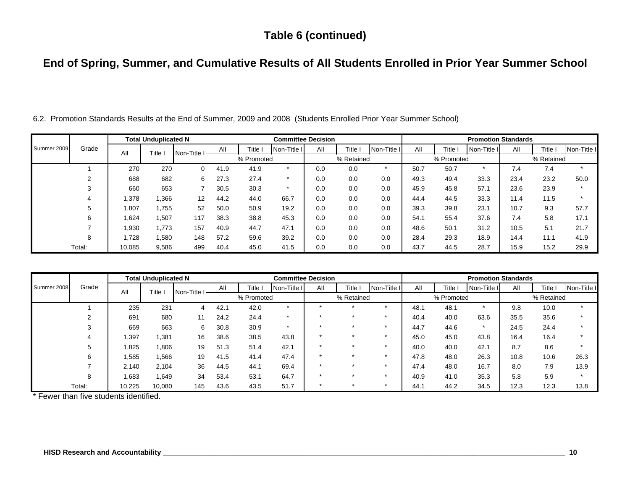### **Table 6 (continued)**

# **End of Spring, Summer, and Cumulative Results of All Students Enrolled in Prior Year Summer School**

|             |        |        | <b>Total Unduplicated N</b> |             |      |            | <b>Committee Decision</b> |     |            |             |      |            | <b>Promotion Standards</b> |      |            |             |
|-------------|--------|--------|-----------------------------|-------------|------|------------|---------------------------|-----|------------|-------------|------|------------|----------------------------|------|------------|-------------|
| Summer 2009 | Grade  | All    | Title                       | Non-Title I | All  | Title i    | Non-Title I               | All | Title I    | Non-Title I | All  | Title I    | Non-Title I                | All  | Title I    | Non-Title I |
|             |        |        |                             |             |      | % Promoted |                           |     | % Retained |             |      | % Promoted |                            |      | % Retained |             |
|             |        | 270    | 270                         | ΩI          | 41.9 | 41.9       | ÷                         | 0.0 | 0.0        |             | 50.7 | 50.7       | $\star$                    | 7.4  | 7.4        | $\star$     |
|             |        | 688    | 682                         | 61          | 27.3 | 27.4       |                           | 0.0 | 0.0        | 0.0         | 49.3 | 49.4       | 33.3                       | 23.4 | 23.2       | 50.0        |
|             |        | 660    | 653                         |             | 30.5 | 30.3       | $\star$                   | 0.0 | 0.0        | 0.0         | 45.9 | 45.8       | 57.1                       | 23.6 | 23.9       | $\star$     |
|             |        | 1,378  | .366                        | 12          | 44.2 | 44.0       | 66.7                      | 0.0 | 0.0        | 0.0         | 44.4 | 44.5       | 33.3                       | 11.4 | 11.5       | $\star$     |
|             |        | 1,807  | 1,755                       | 52          | 50.0 | 50.9       | 19.2                      | 0.0 | 0.0        | 0.0         | 39.3 | 39.8       | 23.1                       | 10.7 | 9.3        | 57.7        |
|             | 6      | 1,624  | 1,507                       | 117         | 38.3 | 38.8       | 45.3                      | 0.0 | 0.0        | 0.0         | 54.1 | 55.4       | 37.6                       | 7.4  | 5.8        | 17.1        |
|             |        | 1,930  | .773                        | 157         | 40.9 | 44.7       | 47.1                      | 0.0 | 0.0        | 0.0         | 48.6 | 50.1       | 31.2                       | 10.5 | 5.1        | 21.7        |
|             | 8      | 1.728  | 1,580                       | 1481        | 57.2 | 59.6       | 39.2                      | 0.0 | 0.0        | 0.0         | 28.4 | 29.3       | 18.9                       | 14.4 | 11.1       | 41.9        |
|             | Total: | 10.085 | 9,586                       | 499         | 40.4 | 45.0       | 41.5                      | 0.0 | 0.0        | 0.0         | 43.7 | 44.5       | 28.7                       | 15.9 | 15.2       | 29.9        |

6.2. Promotion Standards Results at the End of Summer, 2009 and 2008 (Students Enrolled Prior Year Summer School)

|             |        |        | <b>Total Unduplicated N</b> |                 |      |            |              | <b>Committee Decision</b> |            |             |      |            | <b>Promotion Standards</b> |      |            |             |
|-------------|--------|--------|-----------------------------|-----------------|------|------------|--------------|---------------------------|------------|-------------|------|------------|----------------------------|------|------------|-------------|
| Summer 2008 | Grade  | All    | Title i                     | Non-Title I     | All  | Title l    | Non-Title II | All                       | Title i    | Non-Title I | All  | Title      | Non-Title II               | All  | Title 1    | Non-Title I |
|             |        |        |                             |                 |      | % Promoted |              |                           | % Retained |             |      | % Promoted |                            |      | % Retained |             |
|             |        | 235    | 231                         | $\Delta$        | 42.1 | 42.0       |              | ≁                         |            |             | 48.1 | 48.1       | $\star$                    | 9.8  | 10.0       |             |
|             |        | 691    | 680                         | 111             | 24.2 | 24.4       |              |                           |            |             | 40.4 | 40.0       | 63.6                       | 35.5 | 35.6       |             |
|             |        | 669    | 663                         | 6               | 30.8 | 30.9       |              |                           |            |             | 44.7 | 44.6       | $\star$                    | 24.5 | 24.4       |             |
|             | 4      | 1,397  | .381                        | 16 <sup>1</sup> | 38.6 | 38.5       | 43.8         |                           |            |             | 45.0 | 45.0       | 43.8                       | 16.4 | 16.4       |             |
|             | 5      | 825.   | ,806                        | 19              | 51.3 | 51.4       | 42.1         | ÷                         | ÷          |             | 40.0 | 40.0       | 42.1                       | 8.7  | 8.6        |             |
|             | 6      | 1,585  | .566                        | 19 <sub>l</sub> | 41.5 | 41.4       | 47.4         | $\star$                   |            |             | 47.8 | 48.0       | 26.3                       | 10.8 | 10.6       | 26.3        |
|             |        | 2.140  | 2,104                       | 36              | 44.5 | 44.1       | 69.4         | ≁                         |            |             | 47.4 | 48.0       | 16.7                       | 8.0  | 7.9        | 13.9        |
|             | 8      | 683.   | 1,649                       | 34              | 53.4 | 53.1       | 64.7         | ÷                         |            |             | 40.9 | 41.0       | 35.3                       | 5.8  | 5.9        |             |
|             | Total: | 10,225 | 10,080                      | 1451            | 43.6 | 43.5       | 51.7         | ÷                         |            |             | 44.1 | 44.2       | 34.5                       | 12.3 | 12.3       | 13.8        |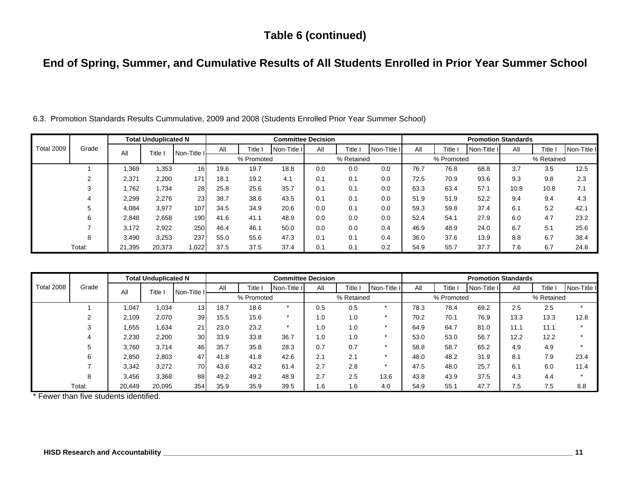### **Table 6 (continued)**

# **End of Spring, Summer, and Cumulative Results of All Students Enrolled in Prior Year Summer School**

|            |        |        | <b>Total Unduplicated N</b> |                  |      |            | <b>Committee Decision</b> |     |            |             |      |            | <b>Promotion Standards</b> |      |              |             |
|------------|--------|--------|-----------------------------|------------------|------|------------|---------------------------|-----|------------|-------------|------|------------|----------------------------|------|--------------|-------------|
| Total 2009 | Grade  | All    | Title                       | Non-Title I      | All  | Title      | Non-Title I               | All | Title I    | Non-Title I | All  | Title.     | Non-Title I                | All  | <b>Title</b> | Non-Title I |
|            |        |        |                             |                  |      | % Promoted |                           |     | % Retained |             |      | % Promoted |                            |      | % Retained   |             |
|            |        | .369   | .353                        | 16               | 19.6 | 19.7       | 18.8                      | 0.0 | 0.0        | 0.0         | 76.7 | 76.8       | 68.8                       | 3.7  | 3.5          | 12.5        |
|            |        | 2.371  | 2,200                       | 171 <sub>1</sub> | 18.1 | 19.2       | 4.1                       | 0.1 | 0.1        | 0.0         | 72.5 | 70.9       | 93.6                       | 9.3  | 9.8          | 2.3         |
|            |        | 1.762  | .734                        | 28               | 25.8 | 25.6       | 35.7                      | 0.1 | 0.1        | 0.0         | 63.3 | 63.4       | 57.1                       | 10.8 | 10.8         | 7.1         |
|            |        | 2,299  | 2,276                       | 23               | 38.7 | 38.6       | 43.5                      | 0.1 | 0.1        | 0.0         | 51.9 | 51.9       | 52.2                       | 9.4  | 9.4          | 4.3         |
|            |        | 4,084  | 3,977                       | 107              | 34.5 | 34.9       | 20.6                      | 0.0 | 0.1        | 0.0         | 59.3 | 59.8       | 37.4                       | 6.1  | 5.2          | 42.1        |
|            | 6      | 2,848  | 2,658                       | 190              | 41.6 | 41.1       | 48.9                      | 0.0 | 0.0        | 0.0         | 52.4 | 54.1       | 27.9                       | 6.0  | 4.7          | 23.2        |
|            |        | 3,172  | 2,922                       | 250              | 46.4 | 46.1       | 50.0                      | 0.0 | 0.0        | 0.4         | 46.9 | 48.9       | 24.0                       | 6.7  | 5.1          | 25.6        |
|            | 8      | 3.490  | 3,253                       | 237              | 55.0 | 55.6       | 47.3                      | 0.1 | 0.1        | 0.4         | 36.0 | 37.6       | 13.9                       | 8.8  | 6.7          | 38.4        |
|            | Total: | 21.395 | 20,373                      | 1,022            | 37.5 | 37.5       | 37.4                      | 0.1 | 0.1        | 0.2         | 54.9 | 55.7       | 37.7                       | 7.6  | 6.7          | 24.8        |

6.3. Promotion Standards Results Cummulative, 2009 and 2008 (Students Enrolled Prior Year Summer School)

|            |        |        | <b>Total Unduplicated N</b> |                 |      |            |             | <b>Committee Decision</b> |            |             |      |            | <b>Promotion Standards</b> |      |            |             |
|------------|--------|--------|-----------------------------|-----------------|------|------------|-------------|---------------------------|------------|-------------|------|------------|----------------------------|------|------------|-------------|
| Total 2008 | Grade  | All    | Title i                     | Non-Title I     | All  | Title l    | Non-Title I | All                       | Title i    | Non-Title I | All  | Title i    | Non-Title I                | All  | Title ,    | Non-Title I |
|            |        |        |                             |                 |      | % Promoted |             |                           | % Retained |             |      | % Promoted |                            |      | % Retained |             |
|            |        | 1,047  | 1,034                       | 13 <sub>l</sub> | 18.7 | 18.6       |             | 0.5                       | 0.5        |             | 78.3 | 78.4       | 69.2                       | 2.5  | 2.5        |             |
|            |        | 2,109  | 2,070                       | 39              | 15.5 | 15.6       |             | 1.0                       | 1.0        |             | 70.2 | 70.1       | 76.9                       | 13.3 | 13.3       | 12.8        |
|            | 3      | 655. ا | 1,634                       | 21              | 23.0 | 23.2       |             | 1.0                       | 1.0        |             | 64.9 | 64.7       | 81.0                       | 11.1 | 11.1       |             |
|            |        | 2,230  | 2,200                       | 30              | 33.9 | 33.8       | 36.7        | 1.0                       | 1.0        |             | 53.0 | 53.0       | 56.7                       | 12.2 | 12.2       |             |
|            |        | 3,760  | 3,714                       | 46              | 35.7 | 35.8       | 28.3        | 0.7                       | 0.7        |             | 58.8 | 58.7       | 65.2                       | 4.9  | 4.9        |             |
|            | 6      | 2,850  | 2,803                       | 47              | 41.8 | 41.8       | 42.6        | 2.1                       | 2.1        |             | 48.0 | 48.2       | 31.9                       | 8.1  | 7.9        | 23.4        |
|            |        | 3,342  | 3,272                       | 70              | 43.6 | 43.2       | 61.4        | 2.7                       | 2.8        | *           | 47.5 | 48.0       | 25.7                       | 6.1  | 6.0        | 11.4        |
|            | 8      | 3,456  | 3,368                       | 88              | 49.2 | 49.2       | 48.9        | 2.7                       | 2.5        | 13.6        | 43.8 | 43.9       | 37.5                       | 4.3  | 4.4        |             |
|            | Total: | 20.449 | 20,095                      | 354             | 35.9 | 35.9       | 39.5        | 1.6                       | 1.6        | 4.0         | 54.9 | 55.1       | 47.7                       | 7.5  | 7.5        | 8.8         |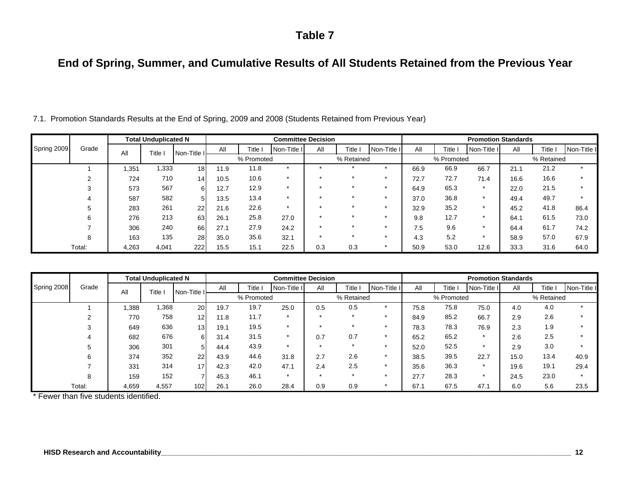# **End of Spring, Summer, and Cumulative Results of All Students Retained from the Previous Year**

|             |        |       | <b>Total Unduplicated N</b> |                 |      |            | <b>Committee Decision</b> |     |              |             |      |            | <b>Promotion Standards</b> |      |            |             |
|-------------|--------|-------|-----------------------------|-----------------|------|------------|---------------------------|-----|--------------|-------------|------|------------|----------------------------|------|------------|-------------|
| Spring 2009 | Grade  | All   | Title                       | Non-Title I     | All  | Title      | Non-Title I               | All | <b>Title</b> | Non-Title I | All  | Title      | Non-Title I                | All  | Title      | Non-Title I |
|             |        |       |                             |                 |      | % Promoted |                           |     | % Retained   |             |      | % Promoted |                            |      | % Retained |             |
|             |        | 351,  | 1,333                       | 18 <sub>1</sub> | 11.9 | 11.8       | $\star$                   |     |              |             | 66.9 | 66.9       | 66.7                       | 21.1 | 21.2       |             |
|             |        | 724   | 710                         | 14              | 10.5 | 10.6       | $\star$                   |     |              |             | 72.7 | 72.7       | 71.4                       | 16.6 | 16.6       |             |
|             |        | 573   | 567                         | 61              | 12.7 | 12.9       | $\star$                   |     |              |             | 64.9 | 65.3       | $\star$                    | 22.0 | 21.5       |             |
|             |        | 587   | 582                         | 5               | 13.5 | 13.4       | $\star$                   |     |              |             | 37.0 | 36.8       | $\star$                    | 49.4 | 49.7       | $\star$     |
|             |        | 283   | 261                         | 22              | 21.6 | 22.6       | $\star$                   |     |              |             | 32.9 | 35.2       | $\star$                    | 45.2 | 41.8       | 86.4        |
|             | 6      | 276   | 213                         | 63              | 26.1 | 25.8       | 27.0                      |     |              |             | 9.8  | 12.7       | $\star$                    | 64.1 | 61.5       | 73.0        |
|             |        | 306   | 240                         | 66              | 27.1 | 27.9       | 24.2                      |     |              |             | 7.5  | 9.6        | *                          | 64.4 | 61.7       | 74.2        |
|             | 8      | 163   | 135                         | 28              | 35.0 | 35.6       | 32.1                      |     |              |             | 4.3  | 5.2        | $\star$                    | 58.9 | 57.0       | 67.9        |
|             | Total: | 4,263 | 4,041                       | 222             | 15.5 | 15.1       | 22.5                      | 0.3 | 0.3          |             | 50.9 | 53.0       | 12.6                       | 33.3 | 31.6       | 64.0        |

7.1. Promotion Standards Results at the End of Spring, 2009 and 2008 (Students Retained from Previous Year)

| Spring 2008 |        |       | <b>Total Unduplicated N</b> |                 |      |            | <b>Committee Decision</b> |     |            |             |      |            | <b>Promotion Standards</b> |      |            |             |
|-------------|--------|-------|-----------------------------|-----------------|------|------------|---------------------------|-----|------------|-------------|------|------------|----------------------------|------|------------|-------------|
|             | Grade  | All   | Title                       | Non-Title I     | All  | Title i    | Non-Title I               | All | Title I    | Non-Title I | All  | Гitle      | Non-Title I                | All  | Title i    | Non-Title I |
|             |        |       |                             |                 |      | % Promoted |                           |     | % Retained |             |      | % Promoted |                            |      | % Retained |             |
|             |        | .388  | 1,368                       | 20              | 19.7 | 19.7       | 25.0                      | 0.5 | 0.5        |             | 75.8 | 75.8       | 75.0                       | 4.0  | 4.0        |             |
|             | 2      | 770   | 758                         | 12              | 11.8 | 11.7       | $\star$                   |     | $\star$    |             | 84.9 | 85.2       | 66.7                       | 2.9  | 2.6        |             |
|             | 3      | 649   | 636                         | 13 <sub>l</sub> | 19.1 | 19.5       | $\star$                   |     |            |             | 78.3 | 78.3       | 76.9                       | 2.3  | 1.9        |             |
|             | 4      | 682   | 676                         | 61              | 31.4 | 31.5       | ÷                         | 0.7 | 0.7        |             | 65.2 | 65.2       | $\star$                    | 2.6  | 2.5        |             |
|             | 5      | 306   | 301                         | 5 <sub>l</sub>  | 44.4 | 43.9       | $\star$                   |     |            |             | 52.0 | 52.5       |                            | 2.9  | 3.0        |             |
|             | 6      | 374   | 352                         | 22              | 43.9 | 44.6       | 31.8                      | 2.7 | 2.6        |             | 38.5 | 39.5       | 22.7                       | 15.0 | 13.4       | 40.9        |
|             |        | 331   | 314                         | 17              | 42.3 | 42.0       | 47.1                      | 2.4 | 2.5        |             | 35.6 | 36.3       |                            | 19.6 | 19.1       | 29.4        |
|             | 8      | 159   | 152                         |                 | 45.3 | 46.1       | $\star$                   |     | $\star$    |             | 27.7 | 28.3       |                            | 24.5 | 23.0       |             |
|             | Total: | 4,659 | 4,557                       | 102             | 26.1 | 26.0       | 28.4                      | 0.9 | 0.9        |             | 67.1 | 67.5       | 47.1                       | 6.0  | 5.6        | 23.5        |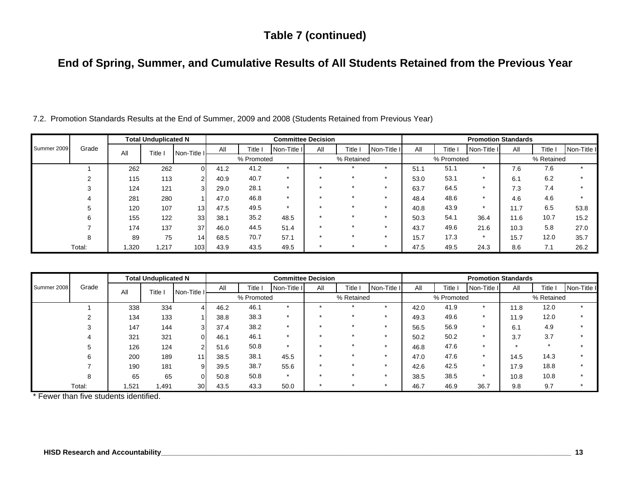### **Table 7 (continued)**

# **End of Spring, Summer, and Cumulative Results of All Students Retained from the Previous Year**

| Summer 2009 |        |      | <b>Total Unduplicated N</b> |                 |      |            | <b>Committee Decision</b> |     |            |             |      |            | <b>Promotion Standards</b> |      |            |             |
|-------------|--------|------|-----------------------------|-----------------|------|------------|---------------------------|-----|------------|-------------|------|------------|----------------------------|------|------------|-------------|
|             | Grade  | All  | Title i                     | Non-Title I     | All  | Title i    | Non-Title I               | All | Title I    | Non-Title I | All  | Title      | Non-Title I                | All  | Title i    | Non-Title I |
|             |        |      |                             |                 |      | % Promoted |                           |     | % Retained |             |      | % Promoted |                            |      | % Retained |             |
|             |        | 262  | 262                         | $\Omega$        | 41.2 | 41.2       | $\star$                   |     |            |             | 51.1 | 51.1       | $\star$                    | 7.6  | 7.6        |             |
|             |        | 115  | 113                         | 2 <sub>1</sub>  | 40.9 | 40.7       |                           |     |            |             | 53.0 | 53.1       |                            | 6.1  | 6.2        |             |
|             |        | 124  | 121                         | 3               | 29.0 | 28.1       | $\star$                   |     |            |             | 63.7 | 64.5       | $\star$                    | 7.3  | 7.4        |             |
|             |        | 281  | 280                         |                 | 47.0 | 46.8       | $\star$                   |     |            |             | 48.4 | 48.6       | $\star$                    | 4.6  | 4.6        | $\star$     |
|             | 5      | 120  | 107                         | 13 <sub>l</sub> | 47.5 | 49.5       | $\star$                   |     |            |             | 40.8 | 43.9       | $\star$                    | 11.7 | 6.5        | 53.8        |
|             | 6      | 155  | 122                         | 33              | 38.1 | 35.2       | 48.5                      |     |            |             | 50.3 | 54.1       | 36.4                       | 11.6 | 10.7       | 15.2        |
|             |        | 174  | 137                         | 37              | 46.0 | 44.5       | 51.4                      |     |            |             | 43.7 | 49.6       | 21.6                       | 10.3 | 5.8        | 27.0        |
|             | 8      | 89   | 75                          | 14 <sub>1</sub> | 68.5 | 70.7       | 57.1                      |     |            |             | 15.7 | 17.3       | $\star$                    | 15.7 | 12.0       | 35.7        |
|             | Total: | .320 | 1,217                       | 103             | 43.9 | 43.5       | 49.5                      |     |            |             | 47.5 | 49.5       | 24.3                       | 8.6  | 7.1        | 26.2        |

7.2. Promotion Standards Results at the End of Summer, 2009 and 2008 (Students Retained from Previous Year)

|             |        |      | <b>Total Unduplicated N</b> |                 |      |            |             | <b>Committee Decision</b> |            |             |      |            | <b>Promotion Standards</b> |      |            |             |
|-------------|--------|------|-----------------------------|-----------------|------|------------|-------------|---------------------------|------------|-------------|------|------------|----------------------------|------|------------|-------------|
| Summer 2008 | Grade  | All  | Title                       | Non-Title I     | All  | Title i    | Non-Title I | All                       | Title I    | Non-Title I | All  | Title I    | Non-Title I                | All  | Title      | Non-Title I |
|             |        |      |                             |                 |      | % Promoted |             |                           | % Retained |             |      | % Promoted |                            |      | % Retained |             |
|             |        | 338  | 334                         | 4               | 46.2 | 46.1       |             |                           |            |             | 42.0 | 41.9       |                            | 11.8 | 12.0       |             |
|             |        | 134  | 133                         |                 | 38.8 | 38.3       | $\star$     |                           |            |             | 49.3 | 49.6       |                            | 11.9 | 12.0       |             |
|             | 3      | 147  | 144                         | 31              | 37.4 | 38.2       | *           |                           |            |             | 56.5 | 56.9       |                            | 6.1  | 4.9        |             |
|             |        | 321  | 321                         | $\overline{0}$  | 46.1 | 46.1       | $\star$     |                           |            |             | 50.2 | 50.2       |                            | 3.7  | 3.7        |             |
|             | 5      | 126  | 124                         | $\overline{2}$  | 51.6 | 50.8       | $\star$     |                           |            |             | 46.8 | 47.6       | $\star$                    |      | $\star$    |             |
|             | 6      | 200  | 189                         | 11              | 38.5 | 38.1       | 45.5        |                           | ÷          |             | 47.0 | 47.6       |                            | 14.5 | 14.3       |             |
|             |        | 190  | 181                         | 9               | 39.5 | 38.7       | 55.6        |                           |            |             | 42.6 | 42.5       | $\star$                    | 17.9 | 18.8       |             |
|             | 8      | 65   | 65                          | ΟI              | 50.8 | 50.8       | $\star$     |                           |            |             | 38.5 | 38.5       |                            | 10.8 | 10.8       |             |
|             | Total: | .521 | 1,491                       | 30 <sup>l</sup> | 43.5 | 43.3       | 50.0        |                           |            |             | 46.7 | 46.9       | 36.7                       | 9.8  | 9.7        |             |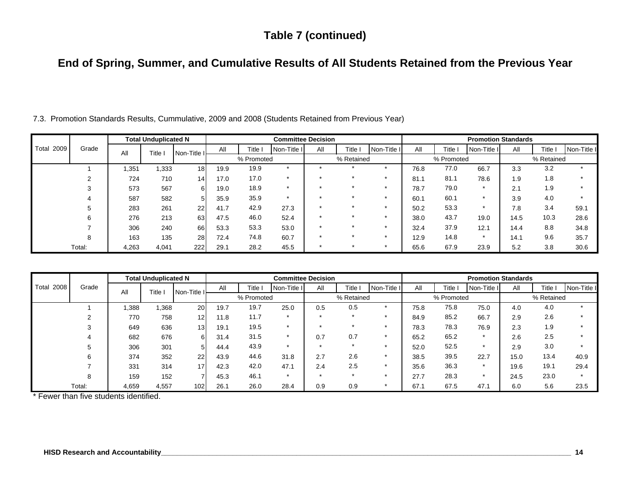### **Table 7 (continued)**

# **End of Spring, Summer, and Cumulative Results of All Students Retained from the Previous Year**

|                   |        |       | <b>Total Unduplicated N</b> |                 |      |            |             | <b>Committee Decision</b> |            |             |      |            | <b>Promotion Standards</b> |      |            |             |
|-------------------|--------|-------|-----------------------------|-----------------|------|------------|-------------|---------------------------|------------|-------------|------|------------|----------------------------|------|------------|-------------|
| <b>Total 2009</b> | Grade  | All   | Title I                     | Non-Title I     | All  | Title l    | Non-Title I | All                       | Title I    | Non-Title I | All  | Title l    | Non-Title I                | All  | Title I    | Non-Title I |
|                   |        |       |                             |                 |      | % Promoted |             |                           | % Retained |             |      | % Promoted |                            |      | % Retained |             |
|                   |        | .351  | 1,333                       | 18 <sub>1</sub> | 19.9 | 19.9       |             |                           |            |             | 76.8 | 77.0       | 66.7                       | 3.3  | 3.2        |             |
|                   | 2      | 724   | 710                         | 14              | 17.0 | 17.0       |             |                           |            |             | 81.7 | 81.1       | 78.6                       | 1.9  | 1.8        |             |
|                   | 3      | 573   | 567                         | 6I              | 19.0 | 18.9       |             |                           |            |             | 78.7 | 79.0       |                            | 2.1  | 1.9        |             |
|                   |        | 587   | 582                         | 5               | 35.9 | 35.9       | $\star$     |                           |            |             | 60.1 | 60.1       |                            | 3.9  | 4.0        |             |
|                   | 5      | 283   | 261                         | 22              | 41.7 | 42.9       | 27.3        |                           | $\star$    |             | 50.2 | 53.3       |                            | 7.8  | 3.4        | 59.1        |
|                   | 6      | 276   | 213                         | 63              | 47.5 | 46.0       | 52.4        |                           | ÷          |             | 38.0 | 43.7       | 19.0                       | 14.5 | 10.3       | 28.6        |
|                   |        | 306   | 240                         | 66              | 53.3 | 53.3       | 53.0        |                           |            |             | 32.4 | 37.9       | 12.1                       | 14.4 | 8.8        | 34.8        |
|                   | 8      | 163   | 135                         | 28              | 72.4 | 74.8       | 60.7        |                           |            |             | 12.9 | 14.8       | $\star$                    | 14.1 | 9.6        | 35.7        |
|                   | Total: | 4,263 | 4,041                       | 222             | 29.1 | 28.2       | 45.5        |                           |            |             | 65.6 | 67.9       | 23.9                       | 5.2  | 3.8        | 30.6        |

7.3. Promotion Standards Results, Cummulative, 2009 and 2008 (Students Retained from Previous Year)

| <b>Total 2008</b> | Grade  | <b>Total Unduplicated N</b> |         |             | <b>Committee Decision</b> |         |             |                      |         |             | <b>Promotion Standards</b> |         |             |            |         |             |
|-------------------|--------|-----------------------------|---------|-------------|---------------------------|---------|-------------|----------------------|---------|-------------|----------------------------|---------|-------------|------------|---------|-------------|
|                   |        | All                         | Title i | Non-Title I | All                       | Title I | Non-Title I | All                  | Title I | Non-Title I | All                        | Title l | Non-Title I | All        | Title i | Non-Title I |
|                   |        |                             |         |             | % Promoted                |         |             | % Retained           |         |             | % Promoted                 |         |             | % Retained |         |             |
|                   |        | .388                        | 1,368   | 20          | 19.7                      | 19.7    | 25.0        | 0.5                  | 0.5     |             | 75.8                       | 75.8    | 75.0        | 4.0        | 4.0     | $\star$     |
|                   | ◠      | 770                         | 758     | 12          | 11.8                      | 11.7    |             |                      |         |             | 84.9                       | 85.2    | 66.7        | 2.9        | 2.6     |             |
|                   | 3      | 649                         | 636     | 13          | 19.1                      | 19.5    | ÷           |                      |         |             | 78.3                       | 78.3    | 76.9        | 2.3        | 1.9     |             |
|                   |        | 682                         | 676     | 61          | 31.4                      | 31.5    |             | 0.7                  | 0.7     |             | 65.2                       | 65.2    |             | 2.6        | 2.5     |             |
|                   | 5      | 306                         | 301     | 5           | 44.4                      | 43.9    | $\star$     | $\ddot{\phantom{1}}$ | $\star$ |             | 52.0                       | 52.5    | $\star$     | 2.9        | 3.0     |             |
|                   | 6      | 374                         | 352     | 22          | 43.9                      | 44.6    | 31.8        | 2.7                  | 2.6     |             | 38.5                       | 39.5    | 22.7        | 15.0       | 13.4    | 40.9        |
|                   |        | 331                         | 314     | 17          | 42.3                      | 42.0    | 47.1        | 2.4                  | 2.5     |             | 35.6                       | 36.3    | $\star$     | 19.6       | 19.1    | 29.4        |
|                   | 8      | 159                         | 152     | 7           | 45.3                      | 46.1    | $\star$     |                      | $\star$ |             | 27.7                       | 28.3    |             | 24.5       | 23.0    |             |
|                   | Total: | 4,659                       | 4,557   | 102         | 26.1                      | 26.0    | 28.4        | 0.9                  | 0.9     |             | 67.1                       | 67.5    | 47.1        | 6.0        | 5.6     | 23.5        |